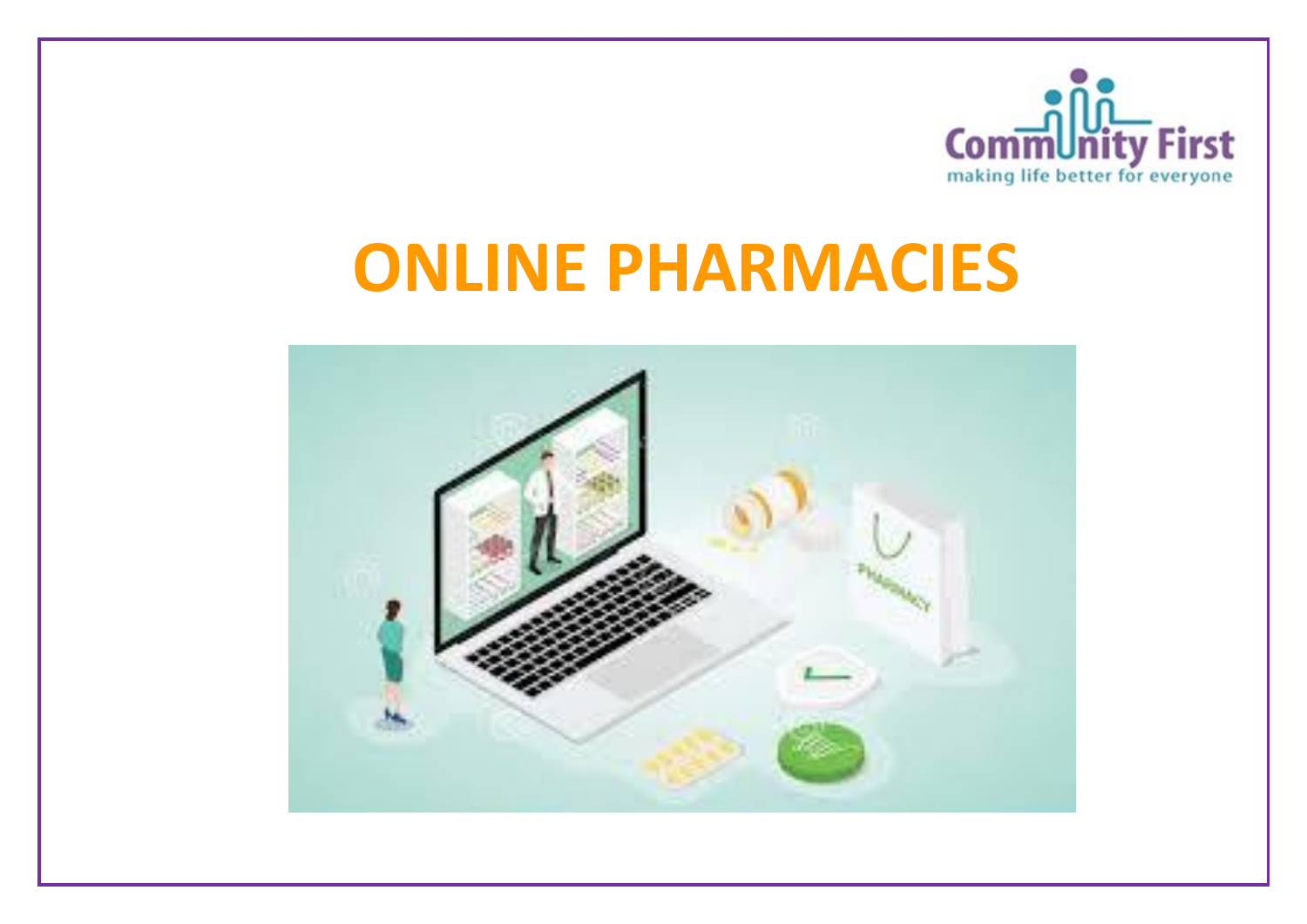

## **ONLINE PHARMACIES**